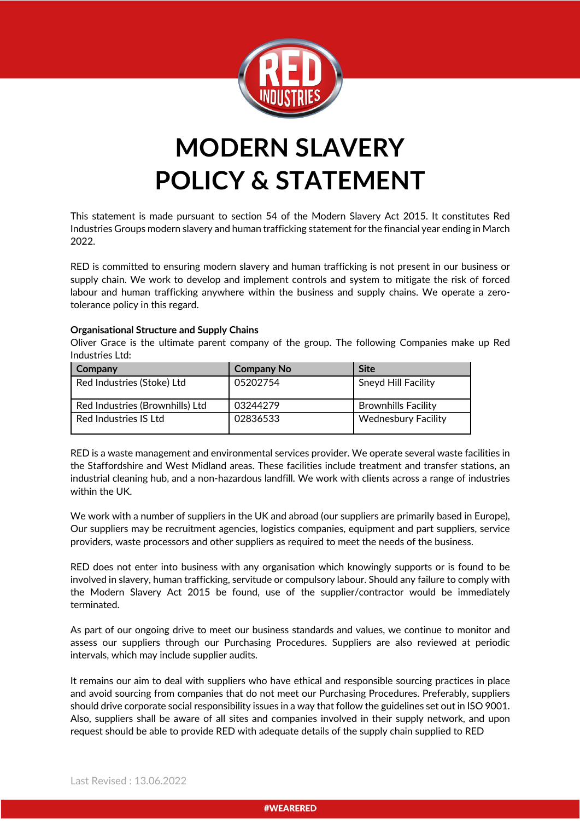

# **MODERN SLAVERY POLICY & STATEMENT**

This statement is made pursuant to section 54 of the Modern Slavery Act 2015. It constitutes Red Industries Groups modern slavery and human trafficking statement for the financial year ending in March 2022.

RED is committed to ensuring modern slavery and human trafficking is not present in our business or supply chain. We work to develop and implement controls and system to mitigate the risk of forced labour and human trafficking anywhere within the business and supply chains. We operate a zerotolerance policy in this regard.

# **Organisational Structure and Supply Chains**

Oliver Grace is the ultimate parent company of the group. The following Companies make up Red Industries Ltd:

| <b>Company</b>                  | <b>Company No</b> | <b>Site</b>                |
|---------------------------------|-------------------|----------------------------|
| Red Industries (Stoke) Ltd      | 05202754          | Sneyd Hill Facility        |
| Red Industries (Brownhills) Ltd | 03244279          | <b>Brownhills Facility</b> |
| Red Industries IS Ltd           | 02836533          | <b>Wednesbury Facility</b> |

RED is a waste management and environmental services provider. We operate several waste facilities in the Staffordshire and West Midland areas. These facilities include treatment and transfer stations, an industrial cleaning hub, and a non-hazardous landfill. We work with clients across a range of industries within the UK.

We work with a number of suppliers in the UK and abroad (our suppliers are primarily based in Europe), Our suppliers may be recruitment agencies, logistics companies, equipment and part suppliers, service providers, waste processors and other suppliers as required to meet the needs of the business.

RED does not enter into business with any organisation which knowingly supports or is found to be involved in slavery, human trafficking, servitude or compulsory labour. Should any failure to comply with the Modern Slavery Act 2015 be found, use of the supplier/contractor would be immediately terminated.

As part of our ongoing drive to meet our business standards and values, we continue to monitor and assess our suppliers through our Purchasing Procedures. Suppliers are also reviewed at periodic intervals, which may include supplier audits.

It remains our aim to deal with suppliers who have ethical and responsible sourcing practices in place and avoid sourcing from companies that do not meet our Purchasing Procedures. Preferably, suppliers should drive corporate social responsibility issues in a way that follow the guidelines set out in ISO 9001. Also, suppliers shall be aware of all sites and companies involved in their supply network, and upon request should be able to provide RED with adequate details of the supply chain supplied to RED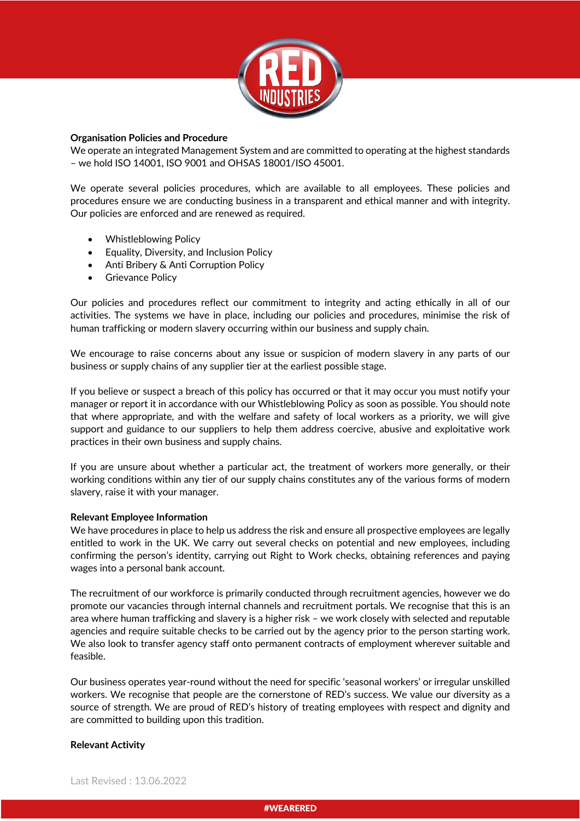

### **Organisation Policies and Procedure**

We operate an integrated Management System and are committed to operating at the highest standards – we hold ISO 14001, ISO 9001 and OHSAS 18001/ISO 45001.

We operate several policies procedures, which are available to all employees. These policies and procedures ensure we are conducting business in a transparent and ethical manner and with integrity. Our policies are enforced and are renewed as required.

- Whistleblowing Policy
- Equality, Diversity, and Inclusion Policy
- Anti Bribery & Anti Corruption Policy
- Grievance Policy

Our policies and procedures reflect our commitment to integrity and acting ethically in all of our activities. The systems we have in place, including our policies and procedures, minimise the risk of human trafficking or modern slavery occurring within our business and supply chain.

We encourage to raise concerns about any issue or suspicion of modern slavery in any parts of our business or supply chains of any supplier tier at the earliest possible stage.

If you believe or suspect a breach of this policy has occurred or that it may occur you must notify your manager or report it in accordance with our Whistleblowing Policy as soon as possible. You should note that where appropriate, and with the welfare and safety of local workers as a priority, we will give support and guidance to our suppliers to help them address coercive, abusive and exploitative work practices in their own business and supply chains.

If you are unsure about whether a particular act, the treatment of workers more generally, or their working conditions within any tier of our supply chains constitutes any of the various forms of modern slavery, raise it with your manager.

# **Relevant Employee Information**

We have procedures in place to help us address the risk and ensure all prospective employees are legally entitled to work in the UK. We carry out several checks on potential and new employees, including confirming the person's identity, carrying out Right to Work checks, obtaining references and paying wages into a personal bank account.

The recruitment of our workforce is primarily conducted through recruitment agencies, however we do promote our vacancies through internal channels and recruitment portals. We recognise that this is an area where human trafficking and slavery is a higher risk – we work closely with selected and reputable agencies and require suitable checks to be carried out by the agency prior to the person starting work. We also look to transfer agency staff onto permanent contracts of employment wherever suitable and feasible.

Our business operates year-round without the need for specific 'seasonal workers' or irregular unskilled workers. We recognise that people are the cornerstone of RED's success. We value our diversity as a source of strength. We are proud of RED's history of treating employees with respect and dignity and are committed to building upon this tradition.

# **Relevant Activity**

Last Revised : 13.06.2022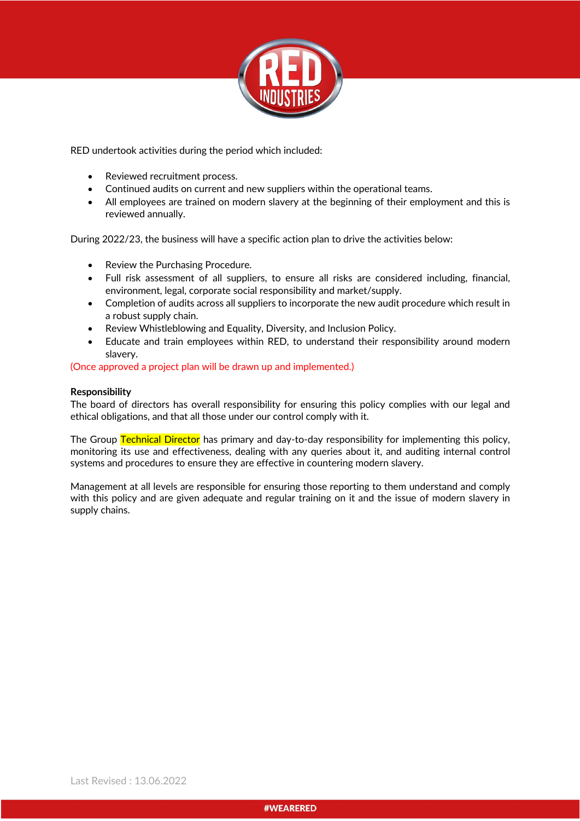

RED undertook activities during the period which included:

- Reviewed recruitment process.
- Continued audits on current and new suppliers within the operational teams.
- All employees are trained on modern slavery at the beginning of their employment and this is reviewed annually.

During 2022/23, the business will have a specific action plan to drive the activities below:

- Review the Purchasing Procedure.
- Full risk assessment of all suppliers, to ensure all risks are considered including, financial, environment, legal, corporate social responsibility and market/supply.
- Completion of audits across all suppliers to incorporate the new audit procedure which result in a robust supply chain.
- Review Whistleblowing and Equality, Diversity, and Inclusion Policy.
- Educate and train employees within RED, to understand their responsibility around modern slavery.

# (Once approved a project plan will be drawn up and implemented.)

# **Responsibility**

The board of directors has overall responsibility for ensuring this policy complies with our legal and ethical obligations, and that all those under our control comply with it.

The Group Technical Director has primary and day-to-day responsibility for implementing this policy, monitoring its use and effectiveness, dealing with any queries about it, and auditing internal control systems and procedures to ensure they are effective in countering modern slavery.

Management at all levels are responsible for ensuring those reporting to them understand and comply with this policy and are given adequate and regular training on it and the issue of modern slavery in supply chains.